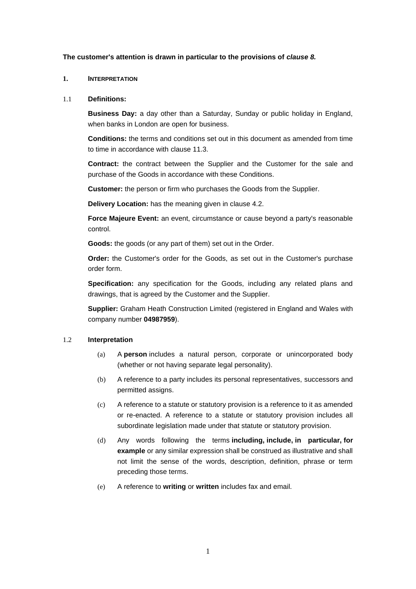#### **The customer's attention is drawn in particular to the provisions of** *clause [8.](#page-6-0)*

#### **1. INTERPRETATION**

#### 1.1 **Definitions:**

**Business Day:** a day other than a Saturday, Sunday or public holiday in England, when banks in London are open for business.

**Conditions:** the terms and conditions set out in this document as amended from time to time in accordance with clause [11.3.](#page-8-0)

**Contract:** the contract between the Supplier and the Customer for the sale and purchase of the Goods in accordance with these Conditions.

**Customer:** the person or firm who purchases the Goods from the Supplier.

**Delivery Location:** has the meaning given in clause [4.2.](#page-2-0)

**Force Majeure Event:** an event, circumstance or cause beyond a party's reasonable control.

**Goods:** the goods (or any part of them) set out in the Order.

**Order:** the Customer's order for the Goods, as set out in the Customer's purchase order form.

**Specification:** any specification for the Goods, including any related plans and drawings, that is agreed by the Customer and the Supplier.

**Supplier:** Graham Heath Construction Limited (registered in England and Wales with company number **04987959**).

#### 1.2 **Interpretation**

- (a) A **person** includes a natural person, corporate or unincorporated body (whether or not having separate legal personality).
- (b) A reference to a party includes its personal representatives, successors and permitted assigns.
- (c) A reference to a statute or statutory provision is a reference to it as amended or re-enacted. A reference to a statute or statutory provision includes all subordinate legislation made under that statute or statutory provision.
- (d) Any words following the terms **including, include, in particular, for example** or any similar expression shall be construed as illustrative and shall not limit the sense of the words, description, definition, phrase or term preceding those terms.
- (e) A reference to **writing** or **written** includes fax and email.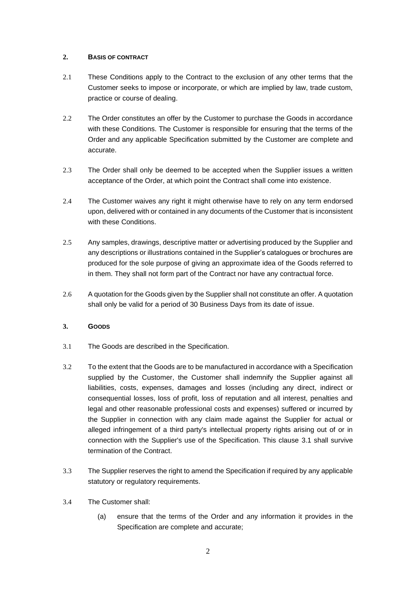## **2. BASIS OF CONTRACT**

- 2.1 These Conditions apply to the Contract to the exclusion of any other terms that the Customer seeks to impose or incorporate, or which are implied by law, trade custom, practice or course of dealing.
- 2.2 The Order constitutes an offer by the Customer to purchase the Goods in accordance with these Conditions. The Customer is responsible for ensuring that the terms of the Order and any applicable Specification submitted by the Customer are complete and accurate.
- 2.3 The Order shall only be deemed to be accepted when the Supplier issues a written acceptance of the Order, at which point the Contract shall come into existence.
- 2.4 The Customer waives any right it might otherwise have to rely on any term endorsed upon, delivered with or contained in any documents of the Customer that is inconsistent with these Conditions.
- 2.5 Any samples, drawings, descriptive matter or advertising produced by the Supplier and any descriptions or illustrations contained in the Supplier's catalogues or brochures are produced for the sole purpose of giving an approximate idea of the Goods referred to in them. They shall not form part of the Contract nor have any contractual force.
- 2.6 A quotation for the Goods given by the Supplier shall not constitute an offer. A quotation shall only be valid for a period of 30 Business Days from its date of issue.

### <span id="page-1-0"></span>**3. GOODS**

- 3.1 The Goods are described in the Specification.
- 3.2 To the extent that the Goods are to be manufactured in accordance with a Specification supplied by the Customer, the Customer shall indemnify the Supplier against all liabilities, costs, expenses, damages and losses (including any direct, indirect or consequential losses, loss of profit, loss of reputation and all interest, penalties and legal and other reasonable professional costs and expenses) suffered or incurred by the Supplier in connection with any claim made against the Supplier for actual or alleged infringement of a third party's intellectual property rights arising out of or in connection with the Supplier's use of the Specification. This clause [3.1](#page-1-0) shall survive termination of the Contract.
- 3.3 The Supplier reserves the right to amend the Specification if required by any applicable statutory or regulatory requirements.
- 3.4 The Customer shall:
	- (a) ensure that the terms of the Order and any information it provides in the Specification are complete and accurate;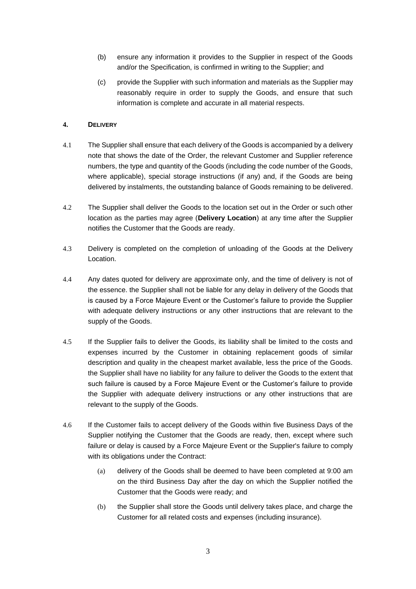- (b) ensure any information it provides to the Supplier in respect of the Goods and/or the Specification, is confirmed in writing to the Supplier; and
- (c) provide the Supplier with such information and materials as the Supplier may reasonably require in order to supply the Goods, and ensure that such information is complete and accurate in all material respects.

# **4. DELIVERY**

- 4.1 The Supplier shall ensure that each delivery of the Goods is accompanied by a delivery note that shows the date of the Order, the relevant Customer and Supplier reference numbers, the type and quantity of the Goods (including the code number of the Goods, where applicable), special storage instructions (if any) and, if the Goods are being delivered by instalments, the outstanding balance of Goods remaining to be delivered.
- <span id="page-2-0"></span>4.2 The Supplier shall deliver the Goods to the location set out in the Order or such other location as the parties may agree (**Delivery Location**) at any time after the Supplier notifies the Customer that the Goods are ready.
- 4.3 Delivery is completed on the completion of unloading of the Goods at the Delivery Location.
- 4.4 Any dates quoted for delivery are approximate only, and the time of delivery is not of the essence. the Supplier shall not be liable for any delay in delivery of the Goods that is caused by a Force Majeure Event or the Customer's failure to provide the Supplier with adequate delivery instructions or any other instructions that are relevant to the supply of the Goods.
- 4.5 If the Supplier fails to deliver the Goods, its liability shall be limited to the costs and expenses incurred by the Customer in obtaining replacement goods of similar description and quality in the cheapest market available, less the price of the Goods. the Supplier shall have no liability for any failure to deliver the Goods to the extent that such failure is caused by a Force Majeure Event or the Customer's failure to provide the Supplier with adequate delivery instructions or any other instructions that are relevant to the supply of the Goods.
- 4.6 If the Customer fails to accept delivery of the Goods within five Business Days of the Supplier notifying the Customer that the Goods are ready, then, except where such failure or delay is caused by a Force Majeure Event or the Supplier's failure to comply with its obligations under the Contract:
	- (a) delivery of the Goods shall be deemed to have been completed at 9:00 am on the third Business Day after the day on which the Supplier notified the Customer that the Goods were ready; and
	- (b) the Supplier shall store the Goods until delivery takes place, and charge the Customer for all related costs and expenses (including insurance).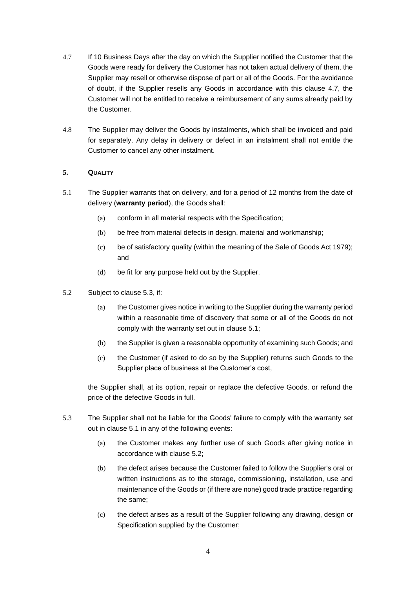- 4.7 If 10 Business Days after the day on which the Supplier notified the Customer that the Goods were ready for delivery the Customer has not taken actual delivery of them, the Supplier may resell or otherwise dispose of part or all of the Goods. For the avoidance of doubt, if the Supplier resells any Goods in accordance with this clause 4.7, the Customer will not be entitled to receive a reimbursement of any sums already paid by the Customer.
- 4.8 The Supplier may deliver the Goods by instalments, which shall be invoiced and paid for separately. Any delay in delivery or defect in an instalment shall not entitle the Customer to cancel any other instalment.

# <span id="page-3-3"></span><span id="page-3-1"></span>**5. QUALITY**

- 5.1 The Supplier warrants that on delivery, and for a period of 12 months from the date of delivery (**warranty period**), the Goods shall:
	- (a) conform in all material respects with the Specification;
	- (b) be free from material defects in design, material and workmanship;
	- (c) be of satisfactory quality (within the meaning of the Sale of Goods Act 1979); and
	- (d) be fit for any purpose held out by the Supplier.
- <span id="page-3-2"></span>5.2 Subject to clause [5.3,](#page-3-0) if:
	- (a) the Customer gives notice in writing to the Supplier during the warranty period within a reasonable time of discovery that some or all of the Goods do not comply with the warranty set out in clause [5.1;](#page-3-1)
	- (b) the Supplier is given a reasonable opportunity of examining such Goods; and
	- (c) the Customer (if asked to do so by the Supplier) returns such Goods to the Supplier place of business at the Customer's cost,

the Supplier shall, at its option, repair or replace the defective Goods, or refund the price of the defective Goods in full.

- <span id="page-3-0"></span>5.3 The Supplier shall not be liable for the Goods' failure to comply with the warranty set out in clause [5.1](#page-3-1) in any of the following events:
	- (a) the Customer makes any further use of such Goods after giving notice in accordance with clause [5.2;](#page-3-2)
	- (b) the defect arises because the Customer failed to follow the Supplier's oral or written instructions as to the storage, commissioning, installation, use and maintenance of the Goods or (if there are none) good trade practice regarding the same;
	- (c) the defect arises as a result of the Supplier following any drawing, design or Specification supplied by the Customer;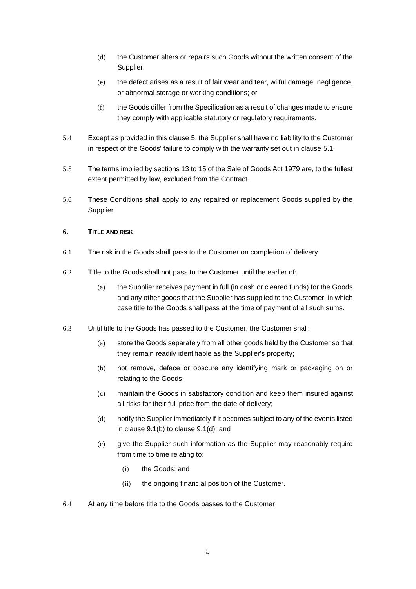- (d) the Customer alters or repairs such Goods without the written consent of the Supplier;
- (e) the defect arises as a result of fair wear and tear, wilful damage, negligence, or abnormal storage or working conditions; or
- (f) the Goods differ from the Specification as a result of changes made to ensure they comply with applicable statutory or regulatory requirements.
- 5.4 Except as provided in this clause [5,](#page-3-3) the Supplier shall have no liability to the Customer in respect of the Goods' failure to comply with the warranty set out in clause [5.1.](#page-3-1)
- 5.5 The terms implied by sections 13 to 15 of the Sale of Goods Act 1979 are, to the fullest extent permitted by law, excluded from the Contract.
- 5.6 These Conditions shall apply to any repaired or replacement Goods supplied by the Supplier.

### **6. TITLE AND RISK**

- 6.1 The risk in the Goods shall pass to the Customer on completion of delivery.
- 6.2 Title to the Goods shall not pass to the Customer until the earlier of:
	- (a) the Supplier receives payment in full (in cash or cleared funds) for the Goods and any other goods that the Supplier has supplied to the Customer, in which case title to the Goods shall pass at the time of payment of all such sums.
- 6.3 Until title to the Goods has passed to the Customer, the Customer shall:
	- (a) store the Goods separately from all other goods held by the Customer so that they remain readily identifiable as the Supplier's property;
	- (b) not remove, deface or obscure any identifying mark or packaging on or relating to the Goods;
	- (c) maintain the Goods in satisfactory condition and keep them insured against all risks for their full price from the date of delivery;
	- (d) notify the Supplier immediately if it becomes subject to any of the events listed in clause [9.1\(b\)](#page-7-0) to clause [9.1\(d\);](#page-7-1) and
	- (e) give the Supplier such information as the Supplier may reasonably require from time to time relating to:
		- (i) the Goods; and
		- (ii) the ongoing financial position of the Customer.
- 6.4 At any time before title to the Goods passes to the Customer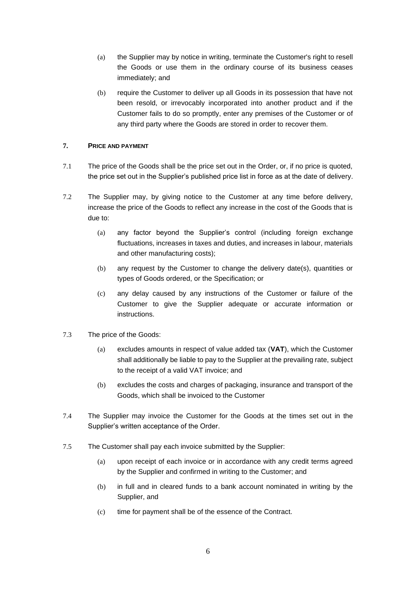- (a) the Supplier may by notice in writing, terminate the Customer's right to resell the Goods or use them in the ordinary course of its business ceases immediately; and
- (b) require the Customer to deliver up all Goods in its possession that have not been resold, or irrevocably incorporated into another product and if the Customer fails to do so promptly, enter any premises of the Customer or of any third party where the Goods are stored in order to recover them.

# **7. PRICE AND PAYMENT**

- 7.1 The price of the Goods shall be the price set out in the Order, or, if no price is quoted, the price set out in the Supplier's published price list in force as at the date of delivery.
- 7.2 The Supplier may, by giving notice to the Customer at any time before delivery, increase the price of the Goods to reflect any increase in the cost of the Goods that is due to:
	- (a) any factor beyond the Supplier's control (including foreign exchange fluctuations, increases in taxes and duties, and increases in labour, materials and other manufacturing costs);
	- (b) any request by the Customer to change the delivery date(s), quantities or types of Goods ordered, or the Specification; or
	- (c) any delay caused by any instructions of the Customer or failure of the Customer to give the Supplier adequate or accurate information or instructions.
- 7.3 The price of the Goods:
	- (a) excludes amounts in respect of value added tax (**VAT**), which the Customer shall additionally be liable to pay to the Supplier at the prevailing rate, subject to the receipt of a valid VAT invoice; and
	- (b) excludes the costs and charges of packaging, insurance and transport of the Goods, which shall be invoiced to the Customer
- 7.4 The Supplier may invoice the Customer for the Goods at the times set out in the Supplier's written acceptance of the Order.
- 7.5 The Customer shall pay each invoice submitted by the Supplier:
	- (a) upon receipt of each invoice or in accordance with any credit terms agreed by the Supplier and confirmed in writing to the Customer; and
	- (b) in full and in cleared funds to a bank account nominated in writing by the Supplier, and
	- (c) time for payment shall be of the essence of the Contract.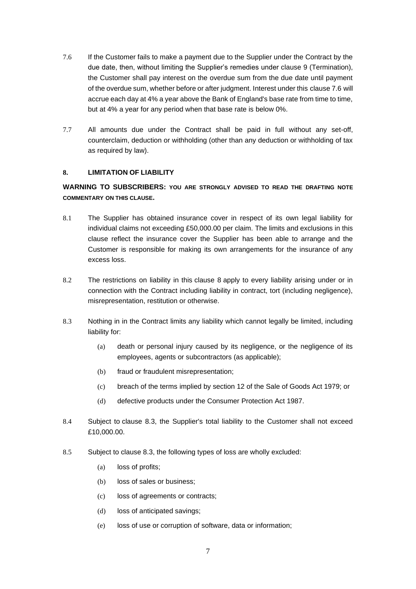- <span id="page-6-1"></span>7.6 If the Customer fails to make a payment due to the Supplier under the Contract by the due date, then, without limiting the Supplier's remedies under clause [9](#page-7-2) (Termination), the Customer shall pay interest on the overdue sum from the due date until payment of the overdue sum, whether before or after judgment. Interest under this clause [7.6](#page-6-1) will accrue each day at 4% a year above the Bank of England's base rate from time to time, but at 4% a year for any period when that base rate is below 0%.
- 7.7 All amounts due under the Contract shall be paid in full without any set-off, counterclaim, deduction or withholding (other than any deduction or withholding of tax as required by law).

### <span id="page-6-0"></span>**8. LIMITATION OF LIABILITY**

# **WARNING TO SUBSCRIBERS: YOU ARE STRONGLY ADVISED TO READ THE DRAFTING NOTE COMMENTARY ON THIS CLAUSE.**

- 8.1 The Supplier has obtained insurance cover in respect of its own legal liability for individual claims not exceeding £50,000.00 per claim. The limits and exclusions in this clause reflect the insurance cover the Supplier has been able to arrange and the Customer is responsible for making its own arrangements for the insurance of any excess loss.
- 8.2 The restrictions on liability in this clause [8](#page-6-0) apply to every liability arising under or in connection with the Contract including liability in contract, tort (including negligence), misrepresentation, restitution or otherwise.
- <span id="page-6-2"></span>8.3 Nothing in in the Contract limits any liability which cannot legally be limited, including liability for:
	- (a) death or personal injury caused by its negligence, or the negligence of its employees, agents or subcontractors (as applicable);
	- (b) fraud or fraudulent misrepresentation;
	- (c) breach of the terms implied by section 12 of the Sale of Goods Act 1979; or
	- (d) defective products under the Consumer Protection Act 1987.
- 8.4 Subject to clause [8.3,](#page-6-2) the Supplier's total liability to the Customer shall not exceed £10,000.00.
- 8.5 Subject to clause [8.3,](#page-6-2) the following types of loss are wholly excluded:
	- (a) loss of profits;
	- (b) loss of sales or business;
	- (c) loss of agreements or contracts;
	- (d) loss of anticipated savings;
	- (e) loss of use or corruption of software, data or information;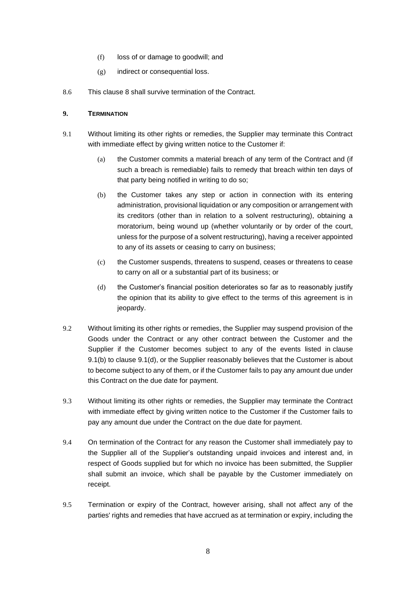- (f) loss of or damage to goodwill; and
- (g) indirect or consequential loss.
- 8.6 This clause [8](#page-6-0) shall survive termination of the Contract.

## <span id="page-7-2"></span>**9. TERMINATION**

- <span id="page-7-0"></span>9.1 Without limiting its other rights or remedies, the Supplier may terminate this Contract with immediate effect by giving written notice to the Customer if:
	- (a) the Customer commits a material breach of any term of the Contract and (if such a breach is remediable) fails to remedy that breach within ten days of that party being notified in writing to do so;
	- (b) the Customer takes any step or action in connection with its entering administration, provisional liquidation or any composition or arrangement with its creditors (other than in relation to a solvent restructuring), obtaining a moratorium, being wound up (whether voluntarily or by order of the court, unless for the purpose of a solvent restructuring), having a receiver appointed to any of its assets or ceasing to carry on business;
	- (c) the Customer suspends, threatens to suspend, ceases or threatens to cease to carry on all or a substantial part of its business; or
	- (d) the Customer's financial position deteriorates so far as to reasonably justify the opinion that its ability to give effect to the terms of this agreement is in jeopardy.
- <span id="page-7-1"></span>9.2 Without limiting its other rights or remedies, the Supplier may suspend provision of the Goods under the Contract or any other contract between the Customer and the Supplier if the Customer becomes subject to any of the events listed in clause [9.1\(b\)](#page-7-0) to clause [9.1\(d\),](#page-7-1) or the Supplier reasonably believes that the Customer is about to become subject to any of them, or if the Customer fails to pay any amount due under this Contract on the due date for payment.
- 9.3 Without limiting its other rights or remedies, the Supplier may terminate the Contract with immediate effect by giving written notice to the Customer if the Customer fails to pay any amount due under the Contract on the due date for payment.
- 9.4 On termination of the Contract for any reason the Customer shall immediately pay to the Supplier all of the Supplier's outstanding unpaid invoices and interest and, in respect of Goods supplied but for which no invoice has been submitted, the Supplier shall submit an invoice, which shall be payable by the Customer immediately on receipt.
- 9.5 Termination or expiry of the Contract, however arising, shall not affect any of the parties' rights and remedies that have accrued as at termination or expiry, including the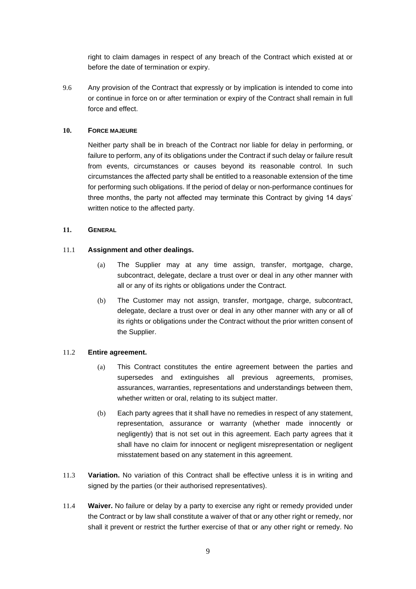right to claim damages in respect of any breach of the Contract which existed at or before the date of termination or expiry.

9.6 Any provision of the Contract that expressly or by implication is intended to come into or continue in force on or after termination or expiry of the Contract shall remain in full force and effect.

## **10. FORCE MAJEURE**

Neither party shall be in breach of the Contract nor liable for delay in performing, or failure to perform, any of its obligations under the Contract if such delay or failure result from events, circumstances or causes beyond its reasonable control. In such circumstances the affected party shall be entitled to a reasonable extension of the time for performing such obligations. If the period of delay or non-performance continues for three months, the party not affected may terminate this Contract by giving 14 days' written notice to the affected party.

### **11. GENERAL**

### 11.1 **Assignment and other dealings.**

- (a) The Supplier may at any time assign, transfer, mortgage, charge, subcontract, delegate, declare a trust over or deal in any other manner with all or any of its rights or obligations under the Contract.
- (b) The Customer may not assign, transfer, mortgage, charge, subcontract, delegate, declare a trust over or deal in any other manner with any or all of its rights or obligations under the Contract without the prior written consent of the Supplier.

#### 11.2 **Entire agreement.**

- (a) This Contract constitutes the entire agreement between the parties and supersedes and extinguishes all previous agreements, promises, assurances, warranties, representations and understandings between them, whether written or oral, relating to its subject matter.
- (b) Each party agrees that it shall have no remedies in respect of any statement, representation, assurance or warranty (whether made innocently or negligently) that is not set out in this agreement. Each party agrees that it shall have no claim for innocent or negligent misrepresentation or negligent misstatement based on any statement in this agreement.
- <span id="page-8-0"></span>11.3 **Variation.** No variation of this Contract shall be effective unless it is in writing and signed by the parties (or their authorised representatives).
- 11.4 **Waiver.** No failure or delay by a party to exercise any right or remedy provided under the Contract or by law shall constitute a waiver of that or any other right or remedy, nor shall it prevent or restrict the further exercise of that or any other right or remedy. No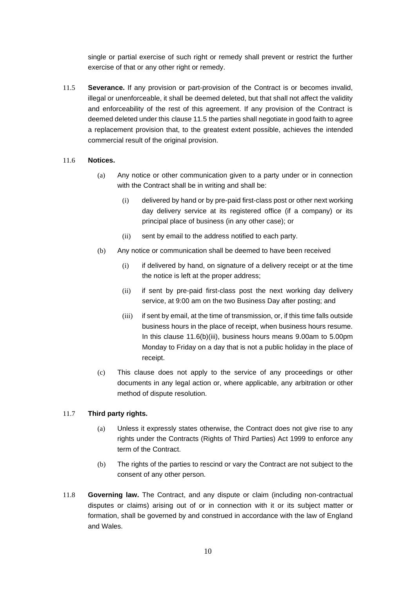single or partial exercise of such right or remedy shall prevent or restrict the further exercise of that or any other right or remedy.

<span id="page-9-0"></span>11.5 **Severance.** If any provision or part-provision of the Contract is or becomes invalid, illegal or unenforceable, it shall be deemed deleted, but that shall not affect the validity and enforceability of the rest of this agreement. If any provision of the Contract is deemed deleted under this claus[e 11.5](#page-9-0) the parties shall negotiate in good faith to agree a replacement provision that, to the greatest extent possible, achieves the intended commercial result of the original provision.

### 11.6 **Notices.**

- (a) Any notice or other communication given to a party under or in connection with the Contract shall be in writing and shall be:
	- (i) delivered by hand or by pre-paid first-class post or other next working day delivery service at its registered office (if a company) or its principal place of business (in any other case); or
	- (ii) sent by email to the address notified to each party.
- (b) Any notice or communication shall be deemed to have been received
	- (i) if delivered by hand, on signature of a delivery receipt or at the time the notice is left at the proper address;
	- (ii) if sent by pre-paid first-class post the next working day delivery service, at 9:00 am on the two Business Day after posting; and
	- (iii) if sent by email, at the time of transmission, or, if this time falls outside business hours in the place of receipt, when business hours resume. In this clause [11.6\(b\)\(iii\),](#page-9-1) business hours means 9.00am to 5.00pm Monday to Friday on a day that is not a public holiday in the place of receipt.
- <span id="page-9-1"></span>(c) This clause does not apply to the service of any proceedings or other documents in any legal action or, where applicable, any arbitration or other method of dispute resolution.

#### 11.7 **Third party rights.**

- (a) Unless it expressly states otherwise, the Contract does not give rise to any rights under the Contracts (Rights of Third Parties) Act 1999 to enforce any term of the Contract.
- (b) The rights of the parties to rescind or vary the Contract are not subject to the consent of any other person.
- 11.8 **Governing law.** The Contract, and any dispute or claim (including non-contractual disputes or claims) arising out of or in connection with it or its subject matter or formation, shall be governed by and construed in accordance with the law of England and Wales.